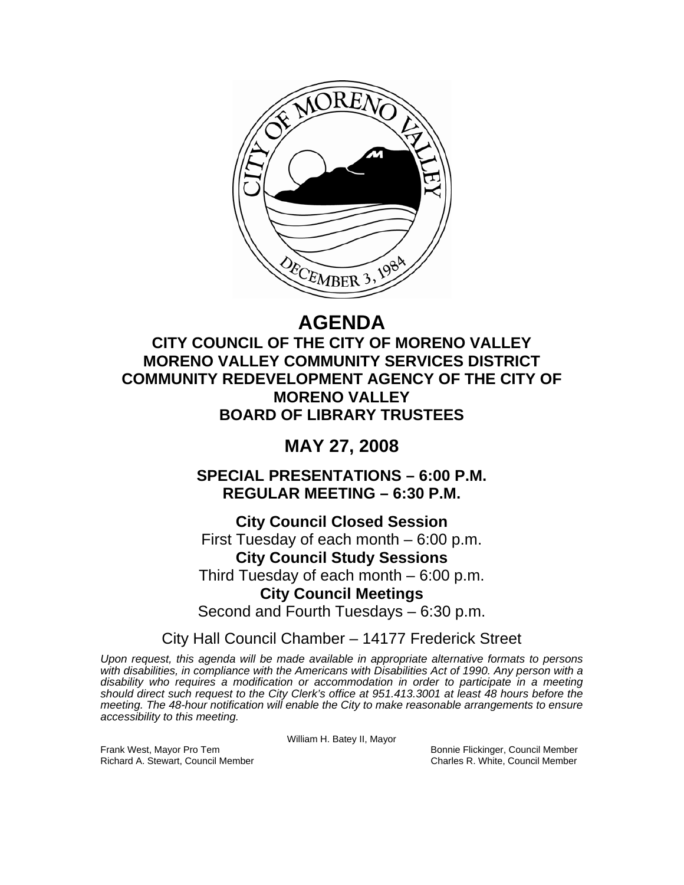

# **AGENDA**

**CITY COUNCIL OF THE CITY OF MORENO VALLEY MORENO VALLEY COMMUNITY SERVICES DISTRICT COMMUNITY REDEVELOPMENT AGENCY OF THE CITY OF MORENO VALLEY BOARD OF LIBRARY TRUSTEES** 

# **MAY 27, 2008**

**SPECIAL PRESENTATIONS – 6:00 P.M. REGULAR MEETING – 6:30 P.M.** 

**City Council Closed Session**  First Tuesday of each month – 6:00 p.m. **City Council Study Sessions**  Third Tuesday of each month – 6:00 p.m. **City Council Meetings**  Second and Fourth Tuesdays – 6:30 p.m.

City Hall Council Chamber – 14177 Frederick Street

*Upon request, this agenda will be made available in appropriate alternative formats to persons with disabilities, in compliance with the Americans with Disabilities Act of 1990. Any person with a disability who requires a modification or accommodation in order to participate in a meeting should direct such request to the City Clerk's office at 951.413.3001 at least 48 hours before the meeting. The 48-hour notification will enable the City to make reasonable arrangements to ensure accessibility to this meeting.* 

William H. Batey II, Mayor

Frank West, Mayor Pro Tem Bonnie Flickinger, Council Member Richard A. Stewart, Council Member Charles R. White, Council Member Charles R. White, Council Member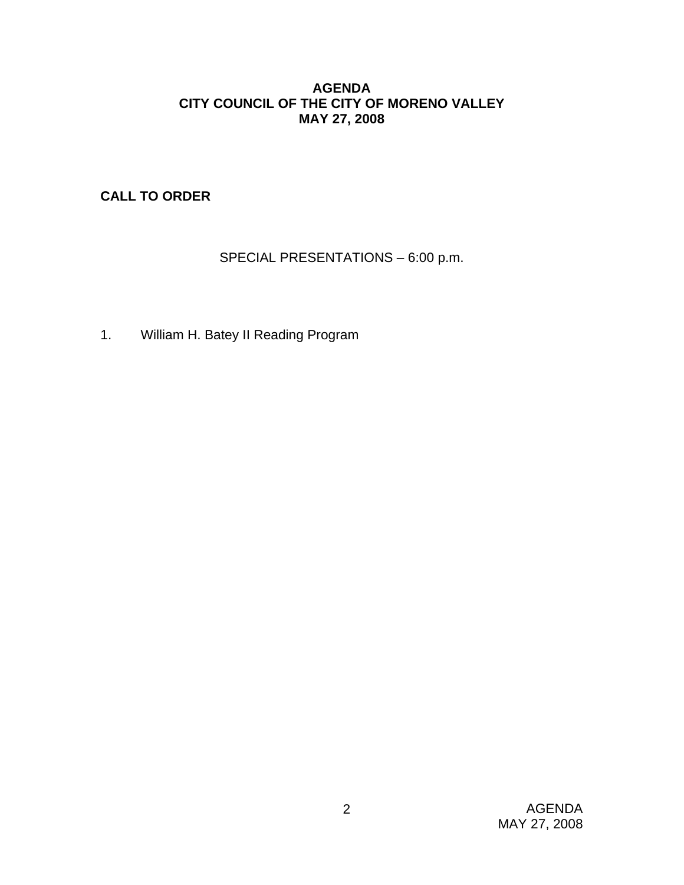# **AGENDA CITY COUNCIL OF THE CITY OF MORENO VALLEY MAY 27, 2008**

**CALL TO ORDER**

SPECIAL PRESENTATIONS – 6:00 p.m.

1. William H. Batey II Reading Program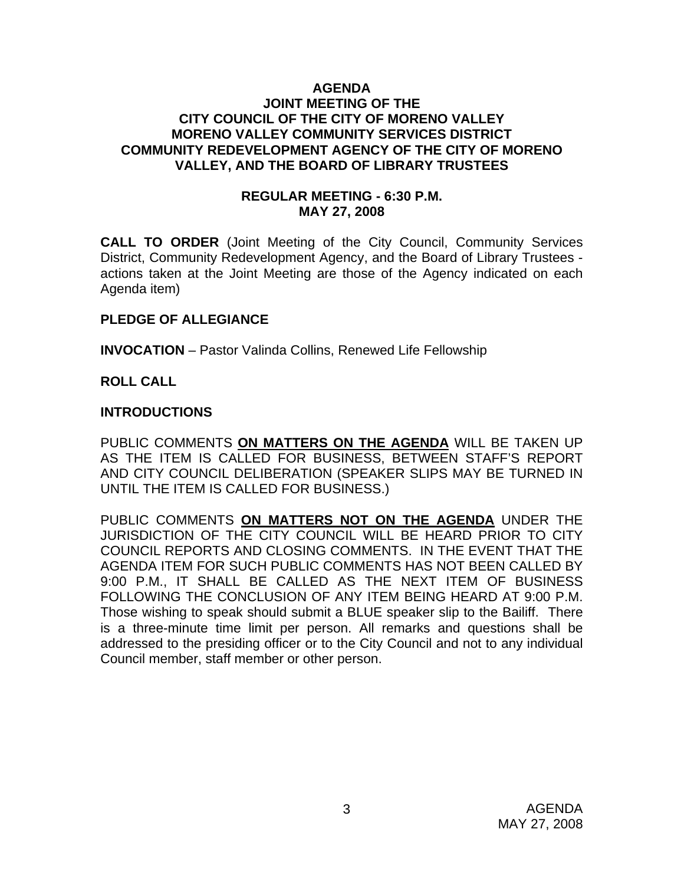#### **AGENDA JOINT MEETING OF THE CITY COUNCIL OF THE CITY OF MORENO VALLEY MORENO VALLEY COMMUNITY SERVICES DISTRICT COMMUNITY REDEVELOPMENT AGENCY OF THE CITY OF MORENO VALLEY, AND THE BOARD OF LIBRARY TRUSTEES**

#### **REGULAR MEETING - 6:30 P.M. MAY 27, 2008**

**CALL TO ORDER** (Joint Meeting of the City Council, Community Services District, Community Redevelopment Agency, and the Board of Library Trustees actions taken at the Joint Meeting are those of the Agency indicated on each Agenda item)

# **PLEDGE OF ALLEGIANCE**

**INVOCATION** – Pastor Valinda Collins, Renewed Life Fellowship

#### **ROLL CALL**

#### **INTRODUCTIONS**

PUBLIC COMMENTS **ON MATTERS ON THE AGENDA** WILL BE TAKEN UP AS THE ITEM IS CALLED FOR BUSINESS, BETWEEN STAFF'S REPORT AND CITY COUNCIL DELIBERATION (SPEAKER SLIPS MAY BE TURNED IN UNTIL THE ITEM IS CALLED FOR BUSINESS.)

PUBLIC COMMENTS **ON MATTERS NOT ON THE AGENDA** UNDER THE JURISDICTION OF THE CITY COUNCIL WILL BE HEARD PRIOR TO CITY COUNCIL REPORTS AND CLOSING COMMENTS. IN THE EVENT THAT THE AGENDA ITEM FOR SUCH PUBLIC COMMENTS HAS NOT BEEN CALLED BY 9:00 P.M., IT SHALL BE CALLED AS THE NEXT ITEM OF BUSINESS FOLLOWING THE CONCLUSION OF ANY ITEM BEING HEARD AT 9:00 P.M. Those wishing to speak should submit a BLUE speaker slip to the Bailiff. There is a three-minute time limit per person. All remarks and questions shall be addressed to the presiding officer or to the City Council and not to any individual Council member, staff member or other person.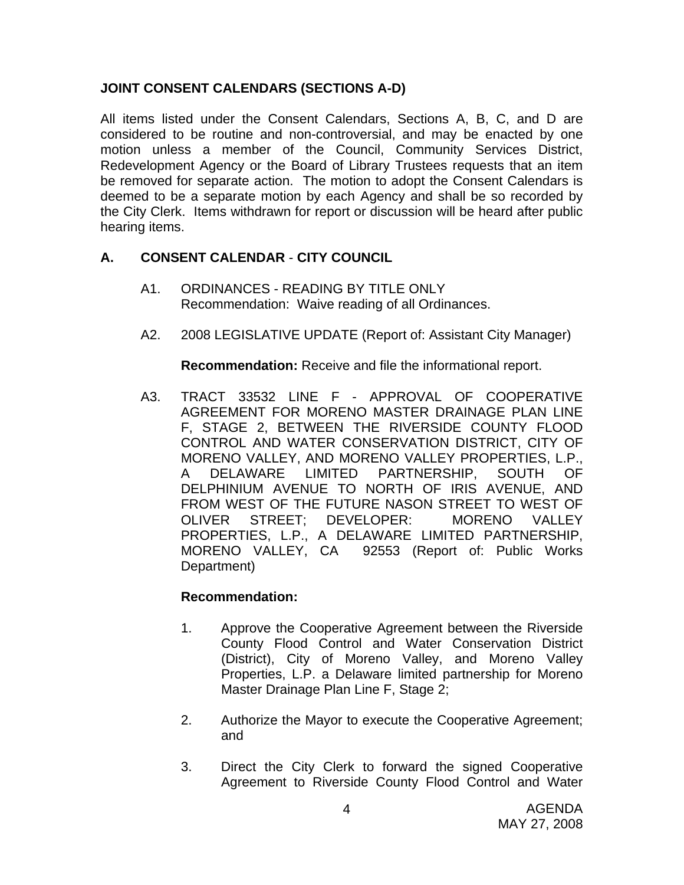# **JOINT CONSENT CALENDARS (SECTIONS A-D)**

All items listed under the Consent Calendars, Sections A, B, C, and D are considered to be routine and non-controversial, and may be enacted by one motion unless a member of the Council, Community Services District, Redevelopment Agency or the Board of Library Trustees requests that an item be removed for separate action. The motion to adopt the Consent Calendars is deemed to be a separate motion by each Agency and shall be so recorded by the City Clerk. Items withdrawn for report or discussion will be heard after public hearing items.

# **A. CONSENT CALENDAR** - **CITY COUNCIL**

- A1. ORDINANCES READING BY TITLE ONLY Recommendation: Waive reading of all Ordinances.
- A2. 2008 LEGISLATIVE UPDATE (Report of: Assistant City Manager)

**Recommendation:** Receive and file the informational report.

A3. TRACT 33532 LINE F - APPROVAL OF COOPERATIVE AGREEMENT FOR MORENO MASTER DRAINAGE PLAN LINE F, STAGE 2, BETWEEN THE RIVERSIDE COUNTY FLOOD CONTROL AND WATER CONSERVATION DISTRICT, CITY OF MORENO VALLEY, AND MORENO VALLEY PROPERTIES, L.P., A DELAWARE LIMITED PARTNERSHIP, SOUTH OF DELPHINIUM AVENUE TO NORTH OF IRIS AVENUE, AND FROM WEST OF THE FUTURE NASON STREET TO WEST OF OLIVER STREET; DEVELOPER: MORENO VALLEY PROPERTIES, L.P., A DELAWARE LIMITED PARTNERSHIP, MORENO VALLEY, CA 92553 (Report of: Public Works Department)

#### **Recommendation:**

- 1. Approve the Cooperative Agreement between the Riverside County Flood Control and Water Conservation District (District), City of Moreno Valley, and Moreno Valley Properties, L.P. a Delaware limited partnership for Moreno Master Drainage Plan Line F, Stage 2;
- 2. Authorize the Mayor to execute the Cooperative Agreement; and
- 3. Direct the City Clerk to forward the signed Cooperative Agreement to Riverside County Flood Control and Water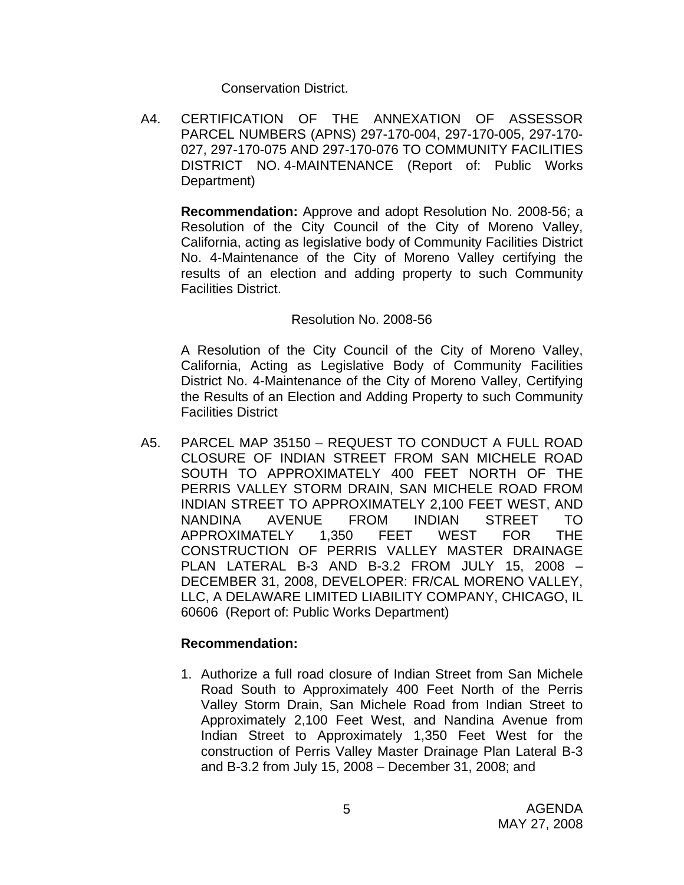Conservation District.

A4. CERTIFICATION OF THE ANNEXATION OF ASSESSOR PARCEL NUMBERS (APNS) 297-170-004, 297-170-005, 297-170- 027, 297-170-075 AND 297-170-076 TO COMMUNITY FACILITIES DISTRICT NO. 4-MAINTENANCE (Report of: Public Works Department)

**Recommendation:** Approve and adopt Resolution No. 2008-56; a Resolution of the City Council of the City of Moreno Valley, California, acting as legislative body of Community Facilities District No. 4-Maintenance of the City of Moreno Valley certifying the results of an election and adding property to such Community Facilities District.

#### Resolution No. 2008-56

A Resolution of the City Council of the City of Moreno Valley, California, Acting as Legislative Body of Community Facilities District No. 4-Maintenance of the City of Moreno Valley, Certifying the Results of an Election and Adding Property to such Community Facilities District

A5. PARCEL MAP 35150 – REQUEST TO CONDUCT A FULL ROAD CLOSURE OF INDIAN STREET FROM SAN MICHELE ROAD SOUTH TO APPROXIMATELY 400 FEET NORTH OF THE PERRIS VALLEY STORM DRAIN, SAN MICHELE ROAD FROM INDIAN STREET TO APPROXIMATELY 2,100 FEET WEST, AND NANDINA AVENUE FROM INDIAN STREET TO APPROXIMATELY 1,350 FEET WEST FOR THE CONSTRUCTION OF PERRIS VALLEY MASTER DRAINAGE PLAN LATERAL B-3 AND B-3.2 FROM JULY 15, 2008 – DECEMBER 31, 2008, DEVELOPER: FR/CAL MORENO VALLEY, LLC, A DELAWARE LIMITED LIABILITY COMPANY, CHICAGO, IL 60606 (Report of: Public Works Department)

#### **Recommendation:**

1. Authorize a full road closure of Indian Street from San Michele Road South to Approximately 400 Feet North of the Perris Valley Storm Drain, San Michele Road from Indian Street to Approximately 2,100 Feet West, and Nandina Avenue from Indian Street to Approximately 1,350 Feet West for the construction of Perris Valley Master Drainage Plan Lateral B-3 and B-3.2 from July 15, 2008 – December 31, 2008; and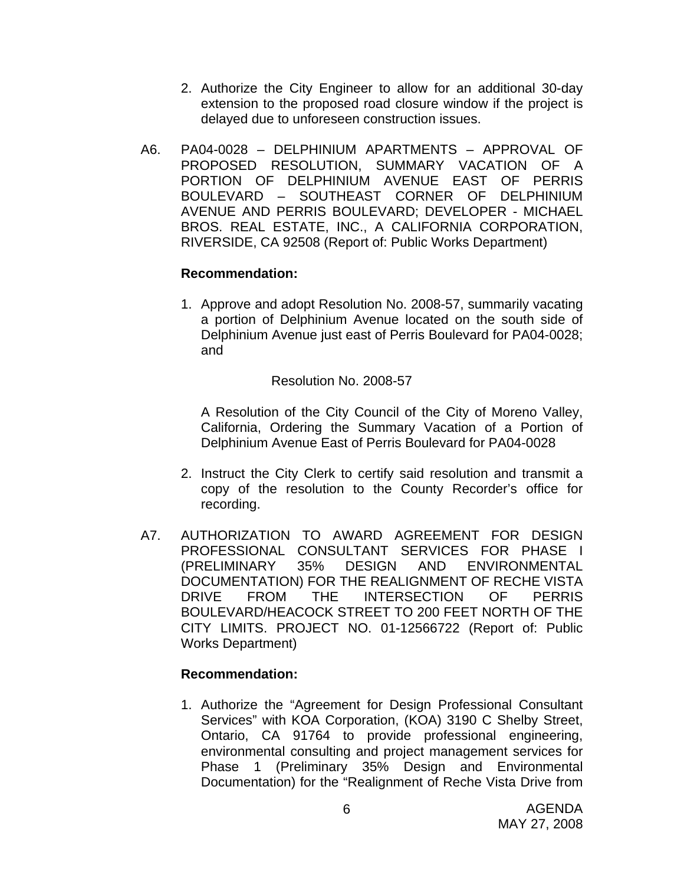- 2. Authorize the City Engineer to allow for an additional 30-day extension to the proposed road closure window if the project is delayed due to unforeseen construction issues.
- A6. PA04-0028 DELPHINIUM APARTMENTS APPROVAL OF PROPOSED RESOLUTION, SUMMARY VACATION OF A PORTION OF DELPHINIUM AVENUE EAST OF PERRIS BOULEVARD – SOUTHEAST CORNER OF DELPHINIUM AVENUE AND PERRIS BOULEVARD; DEVELOPER - MICHAEL BROS. REAL ESTATE, INC., A CALIFORNIA CORPORATION, RIVERSIDE, CA 92508 (Report of: Public Works Department)

#### **Recommendation:**

1. Approve and adopt Resolution No. 2008-57, summarily vacating a portion of Delphinium Avenue located on the south side of Delphinium Avenue just east of Perris Boulevard for PA04-0028; and

Resolution No. 2008-57

A Resolution of the City Council of the City of Moreno Valley, California, Ordering the Summary Vacation of a Portion of Delphinium Avenue East of Perris Boulevard for PA04-0028

- 2. Instruct the City Clerk to certify said resolution and transmit a copy of the resolution to the County Recorder's office for recording.
- A7. AUTHORIZATION TO AWARD AGREEMENT FOR DESIGN PROFESSIONAL CONSULTANT SERVICES FOR PHASE I (PRELIMINARY 35% DESIGN AND ENVIRONMENTAL DOCUMENTATION) FOR THE REALIGNMENT OF RECHE VISTA DRIVE FROM THE INTERSECTION OF PERRIS BOULEVARD/HEACOCK STREET TO 200 FEET NORTH OF THE CITY LIMITS. PROJECT NO. 01-12566722 (Report of: Public Works Department)

#### **Recommendation:**

1. Authorize the "Agreement for Design Professional Consultant Services" with KOA Corporation, (KOA) 3190 C Shelby Street, Ontario, CA 91764 to provide professional engineering, environmental consulting and project management services for Phase 1 (Preliminary 35% Design and Environmental Documentation) for the "Realignment of Reche Vista Drive from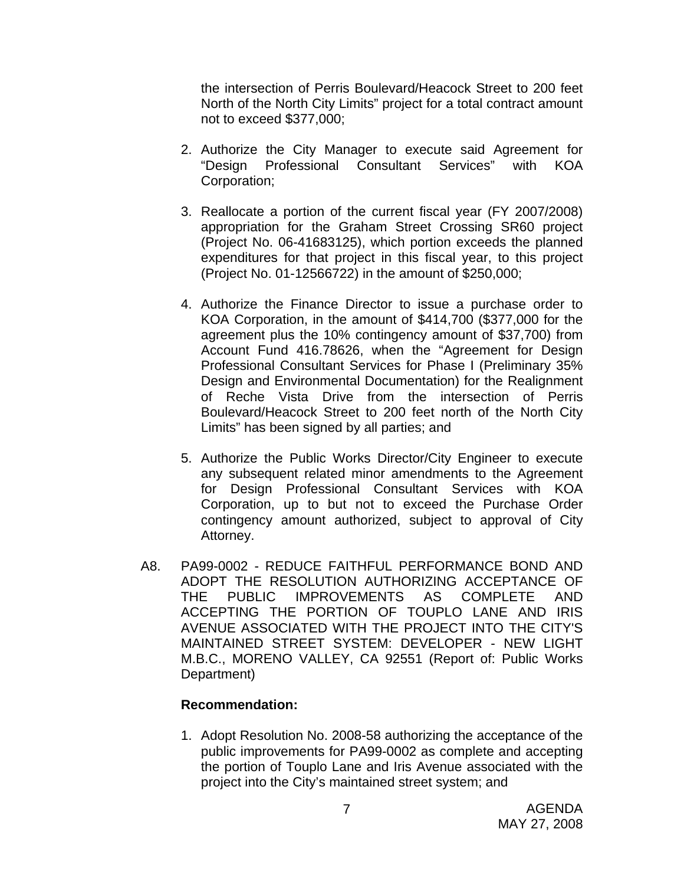the intersection of Perris Boulevard/Heacock Street to 200 feet North of the North City Limits" project for a total contract amount not to exceed \$377,000;

- 2. Authorize the City Manager to execute said Agreement for "Design Professional Consultant Services" with KOA Corporation;
- 3. Reallocate a portion of the current fiscal year (FY 2007/2008) appropriation for the Graham Street Crossing SR60 project (Project No. 06-41683125), which portion exceeds the planned expenditures for that project in this fiscal year, to this project (Project No. 01-12566722) in the amount of \$250,000;
- 4. Authorize the Finance Director to issue a purchase order to KOA Corporation, in the amount of \$414,700 (\$377,000 for the agreement plus the 10% contingency amount of \$37,700) from Account Fund 416.78626, when the "Agreement for Design Professional Consultant Services for Phase I (Preliminary 35% Design and Environmental Documentation) for the Realignment of Reche Vista Drive from the intersection of Perris Boulevard/Heacock Street to 200 feet north of the North City Limits" has been signed by all parties; and
- 5. Authorize the Public Works Director/City Engineer to execute any subsequent related minor amendments to the Agreement for Design Professional Consultant Services with KOA Corporation, up to but not to exceed the Purchase Order contingency amount authorized, subject to approval of City Attorney.
- A8. PA99-0002 REDUCE FAITHFUL PERFORMANCE BOND AND ADOPT THE RESOLUTION AUTHORIZING ACCEPTANCE OF THE PUBLIC IMPROVEMENTS AS COMPLETE AND ACCEPTING THE PORTION OF TOUPLO LANE AND IRIS AVENUE ASSOCIATED WITH THE PROJECT INTO THE CITY'S MAINTAINED STREET SYSTEM: DEVELOPER - NEW LIGHT M.B.C., MORENO VALLEY, CA 92551 (Report of: Public Works Department)

#### **Recommendation:**

1. Adopt Resolution No. 2008-58 authorizing the acceptance of the public improvements for PA99-0002 as complete and accepting the portion of Touplo Lane and Iris Avenue associated with the project into the City's maintained street system; and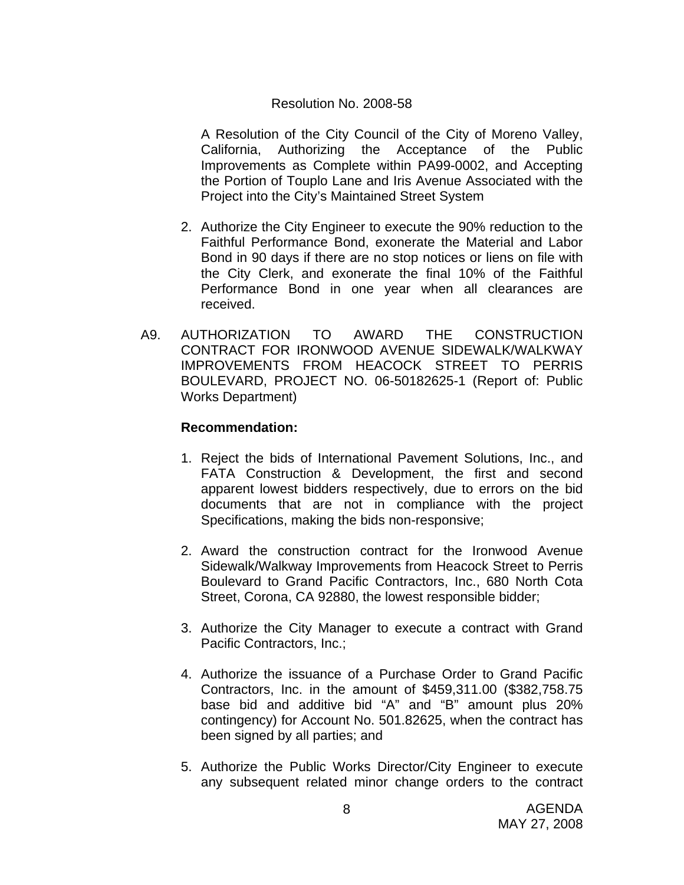#### Resolution No. 2008-58

A Resolution of the City Council of the City of Moreno Valley, California, Authorizing the Acceptance of the Public Improvements as Complete within PA99-0002, and Accepting the Portion of Touplo Lane and Iris Avenue Associated with the Project into the City's Maintained Street System

- 2. Authorize the City Engineer to execute the 90% reduction to the Faithful Performance Bond, exonerate the Material and Labor Bond in 90 days if there are no stop notices or liens on file with the City Clerk, and exonerate the final 10% of the Faithful Performance Bond in one year when all clearances are received.
- A9. AUTHORIZATION TO AWARD THE CONSTRUCTION CONTRACT FOR IRONWOOD AVENUE SIDEWALK/WALKWAY IMPROVEMENTS FROM HEACOCK STREET TO PERRIS BOULEVARD, PROJECT NO. 06-50182625-1 (Report of: Public Works Department)

#### **Recommendation:**

- 1. Reject the bids of International Pavement Solutions, Inc., and FATA Construction & Development, the first and second apparent lowest bidders respectively, due to errors on the bid documents that are not in compliance with the project Specifications, making the bids non-responsive;
- 2. Award the construction contract for the Ironwood Avenue Sidewalk/Walkway Improvements from Heacock Street to Perris Boulevard to Grand Pacific Contractors, Inc., 680 North Cota Street, Corona, CA 92880, the lowest responsible bidder;
- 3. Authorize the City Manager to execute a contract with Grand Pacific Contractors, Inc.;
- 4. Authorize the issuance of a Purchase Order to Grand Pacific Contractors, Inc. in the amount of \$459,311.00 (\$382,758.75 base bid and additive bid "A" and "B" amount plus 20% contingency) for Account No. 501.82625, when the contract has been signed by all parties; and
- 5. Authorize the Public Works Director/City Engineer to execute any subsequent related minor change orders to the contract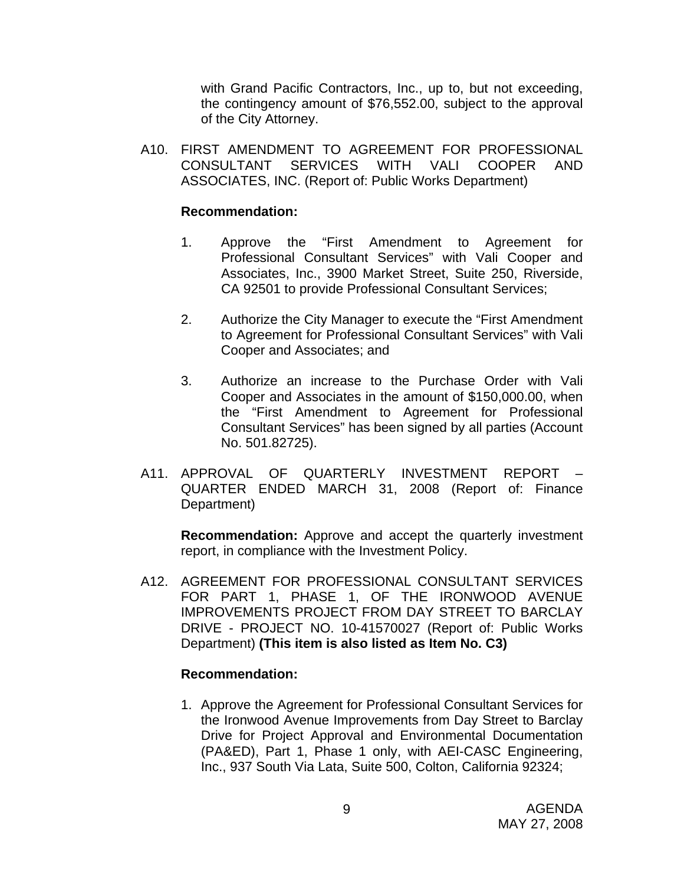with Grand Pacific Contractors, Inc., up to, but not exceeding, the contingency amount of \$76,552.00, subject to the approval of the City Attorney.

A10. FIRST AMENDMENT TO AGREEMENT FOR PROFESSIONAL CONSULTANT SERVICES WITH VALI COOPER AND ASSOCIATES, INC. (Report of: Public Works Department)

#### **Recommendation:**

- 1. Approve the "First Amendment to Agreement for Professional Consultant Services" with Vali Cooper and Associates, Inc., 3900 Market Street, Suite 250, Riverside, CA 92501 to provide Professional Consultant Services;
- 2. Authorize the City Manager to execute the "First Amendment to Agreement for Professional Consultant Services" with Vali Cooper and Associates; and
- 3. Authorize an increase to the Purchase Order with Vali Cooper and Associates in the amount of \$150,000.00, when the "First Amendment to Agreement for Professional Consultant Services" has been signed by all parties (Account No. 501.82725).
- A11. APPROVAL OF QUARTERLY INVESTMENT REPORT QUARTER ENDED MARCH 31, 2008 (Report of: Finance Department)

**Recommendation:** Approve and accept the quarterly investment report, in compliance with the Investment Policy.

A12. AGREEMENT FOR PROFESSIONAL CONSULTANT SERVICES FOR PART 1, PHASE 1, OF THE IRONWOOD AVENUE IMPROVEMENTS PROJECT FROM DAY STREET TO BARCLAY DRIVE - PROJECT NO. 10-41570027 (Report of: Public Works Department) **(This item is also listed as Item No. C3)** 

#### **Recommendation:**

1. Approve the Agreement for Professional Consultant Services for the Ironwood Avenue Improvements from Day Street to Barclay Drive for Project Approval and Environmental Documentation (PA&ED), Part 1, Phase 1 only, with AEI-CASC Engineering, Inc., 937 South Via Lata, Suite 500, Colton, California 92324;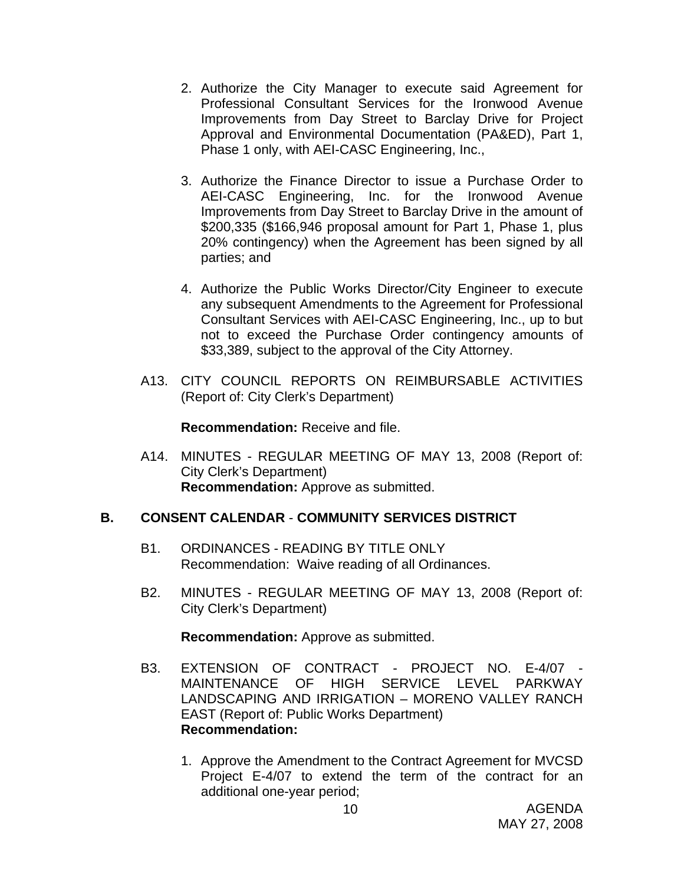- 2. Authorize the City Manager to execute said Agreement for Professional Consultant Services for the Ironwood Avenue Improvements from Day Street to Barclay Drive for Project Approval and Environmental Documentation (PA&ED), Part 1, Phase 1 only, with AEI-CASC Engineering, Inc.,
- 3. Authorize the Finance Director to issue a Purchase Order to AEI-CASC Engineering, Inc. for the Ironwood Avenue Improvements from Day Street to Barclay Drive in the amount of \$200,335 (\$166,946 proposal amount for Part 1, Phase 1, plus 20% contingency) when the Agreement has been signed by all parties; and
- 4. Authorize the Public Works Director/City Engineer to execute any subsequent Amendments to the Agreement for Professional Consultant Services with AEI-CASC Engineering, Inc., up to but not to exceed the Purchase Order contingency amounts of \$33,389, subject to the approval of the City Attorney.
- A13. CITY COUNCIL REPORTS ON REIMBURSABLE ACTIVITIES (Report of: City Clerk's Department)

**Recommendation:** Receive and file.

A14. MINUTES - REGULAR MEETING OF MAY 13, 2008 (Report of: City Clerk's Department) **Recommendation:** Approve as submitted.

# **B. CONSENT CALENDAR** - **COMMUNITY SERVICES DISTRICT**

- B1. ORDINANCES READING BY TITLE ONLY Recommendation: Waive reading of all Ordinances.
- B2. MINUTES REGULAR MEETING OF MAY 13, 2008 (Report of: City Clerk's Department)

**Recommendation:** Approve as submitted.

- B3. EXTENSION OF CONTRACT PROJECT NO. E-4/07 MAINTENANCE OF HIGH SERVICE LEVEL PARKWAY LANDSCAPING AND IRRIGATION – MORENO VALLEY RANCH EAST (Report of: Public Works Department) **Recommendation:** 
	- 1. Approve the Amendment to the Contract Agreement for MVCSD Project E-4/07 to extend the term of the contract for an additional one-year period;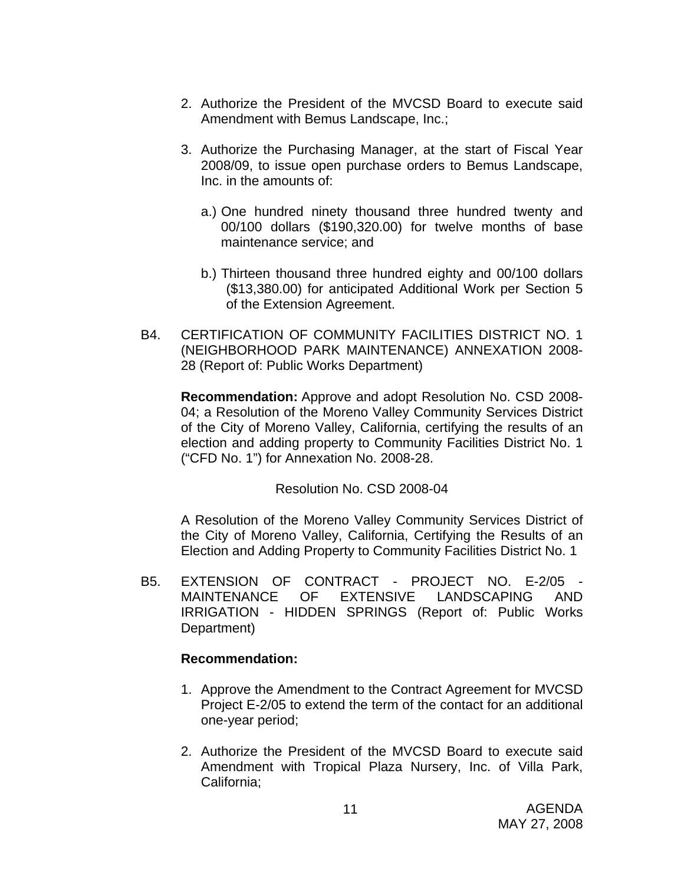- 2. Authorize the President of the MVCSD Board to execute said Amendment with Bemus Landscape, Inc.;
- 3. Authorize the Purchasing Manager, at the start of Fiscal Year 2008/09, to issue open purchase orders to Bemus Landscape, Inc. in the amounts of:
	- a.) One hundred ninety thousand three hundred twenty and 00/100 dollars (\$190,320.00) for twelve months of base maintenance service; and
	- b.) Thirteen thousand three hundred eighty and 00/100 dollars (\$13,380.00) for anticipated Additional Work per Section 5 of the Extension Agreement.
- B4. CERTIFICATION OF COMMUNITY FACILITIES DISTRICT NO. 1 (NEIGHBORHOOD PARK MAINTENANCE) ANNEXATION 2008- 28 (Report of: Public Works Department)

 **Recommendation:** Approve and adopt Resolution No. CSD 2008- 04; a Resolution of the Moreno Valley Community Services District of the City of Moreno Valley, California, certifying the results of an election and adding property to Community Facilities District No. 1 ("CFD No. 1") for Annexation No. 2008-28.

Resolution No. CSD 2008-04

A Resolution of the Moreno Valley Community Services District of the City of Moreno Valley, California, Certifying the Results of an Election and Adding Property to Community Facilities District No. 1

B5. EXTENSION OF CONTRACT - PROJECT NO. E-2/05 -<br>MAINTENANCE OF EXTENSIVE LANDSCAPING AND OF EXTENSIVE LANDSCAPING AND IRRIGATION - HIDDEN SPRINGS (Report of: Public Works Department)

# **Recommendation:**

- 1. Approve the Amendment to the Contract Agreement for MVCSD Project E-2/05 to extend the term of the contact for an additional one-year period;
- 2. Authorize the President of the MVCSD Board to execute said Amendment with Tropical Plaza Nursery, Inc. of Villa Park, California;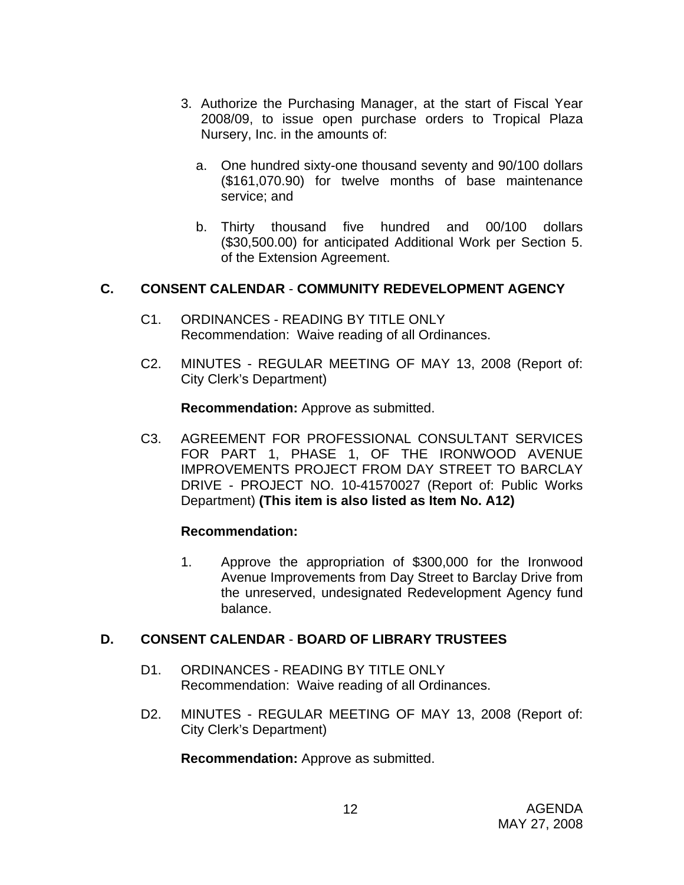- 3. Authorize the Purchasing Manager, at the start of Fiscal Year 2008/09, to issue open purchase orders to Tropical Plaza Nursery, Inc. in the amounts of:
	- a. One hundred sixty-one thousand seventy and 90/100 dollars (\$161,070.90) for twelve months of base maintenance service; and
	- b. Thirty thousand five hundred and 00/100 dollars (\$30,500.00) for anticipated Additional Work per Section 5. of the Extension Agreement.

# **C. CONSENT CALENDAR** - **COMMUNITY REDEVELOPMENT AGENCY**

- C1. ORDINANCES READING BY TITLE ONLY Recommendation: Waive reading of all Ordinances.
- C2. MINUTES REGULAR MEETING OF MAY 13, 2008 (Report of: City Clerk's Department)

**Recommendation:** Approve as submitted.

C3. AGREEMENT FOR PROFESSIONAL CONSULTANT SERVICES FOR PART 1, PHASE 1, OF THE IRONWOOD AVENUE IMPROVEMENTS PROJECT FROM DAY STREET TO BARCLAY DRIVE - PROJECT NO. 10-41570027 (Report of: Public Works Department) **(This item is also listed as Item No. A12)**

# **Recommendation:**

1. Approve the appropriation of \$300,000 for the Ironwood Avenue Improvements from Day Street to Barclay Drive from the unreserved, undesignated Redevelopment Agency fund balance.

#### **D. CONSENT CALENDAR** - **BOARD OF LIBRARY TRUSTEES**

- D1. ORDINANCES READING BY TITLE ONLY Recommendation: Waive reading of all Ordinances.
- D2. MINUTES REGULAR MEETING OF MAY 13, 2008 (Report of: City Clerk's Department)

**Recommendation:** Approve as submitted.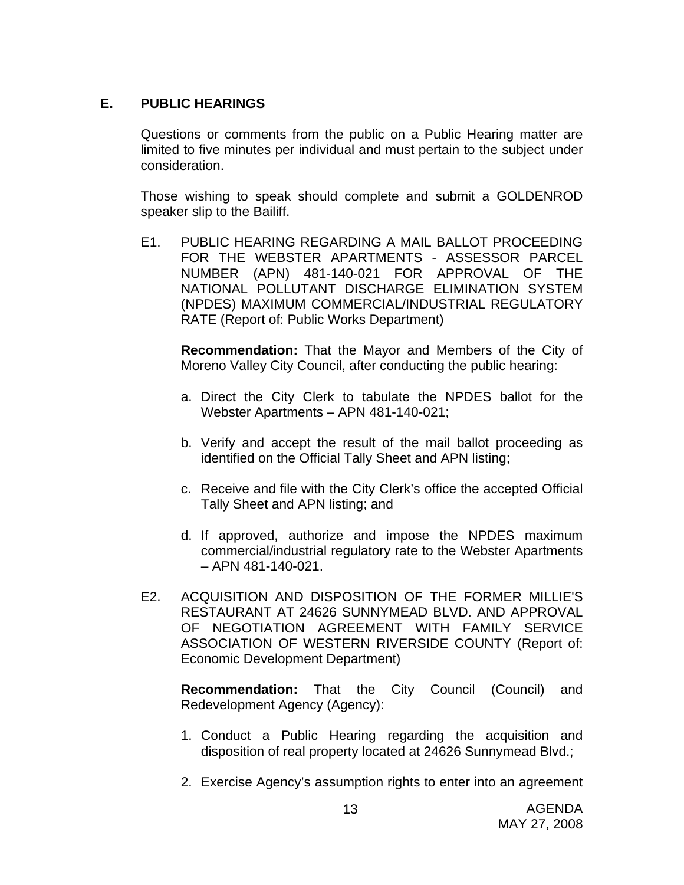# **E. PUBLIC HEARINGS**

Questions or comments from the public on a Public Hearing matter are limited to five minutes per individual and must pertain to the subject under consideration.

 Those wishing to speak should complete and submit a GOLDENROD speaker slip to the Bailiff.

E1. PUBLIC HEARING REGARDING A MAIL BALLOT PROCEEDING FOR THE WEBSTER APARTMENTS - ASSESSOR PARCEL NUMBER (APN) 481-140-021 FOR APPROVAL OF THE NATIONAL POLLUTANT DISCHARGE ELIMINATION SYSTEM (NPDES) MAXIMUM COMMERCIAL/INDUSTRIAL REGULATORY RATE (Report of: Public Works Department)

**Recommendation:** That the Mayor and Members of the City of Moreno Valley City Council, after conducting the public hearing:

- a. Direct the City Clerk to tabulate the NPDES ballot for the Webster Apartments – APN 481-140-021;
- b. Verify and accept the result of the mail ballot proceeding as identified on the Official Tally Sheet and APN listing;
- c. Receive and file with the City Clerk's office the accepted Official Tally Sheet and APN listing; and
- d. If approved, authorize and impose the NPDES maximum commercial/industrial regulatory rate to the Webster Apartments – APN 481-140-021.
- E2. ACQUISITION AND DISPOSITION OF THE FORMER MILLIE'S RESTAURANT AT 24626 SUNNYMEAD BLVD. AND APPROVAL OF NEGOTIATION AGREEMENT WITH FAMILY SERVICE ASSOCIATION OF WESTERN RIVERSIDE COUNTY (Report of: Economic Development Department)

**Recommendation:** That the City Council (Council) and Redevelopment Agency (Agency):

- 1. Conduct a Public Hearing regarding the acquisition and disposition of real property located at 24626 Sunnymead Blvd.;
- 2. Exercise Agency's assumption rights to enter into an agreement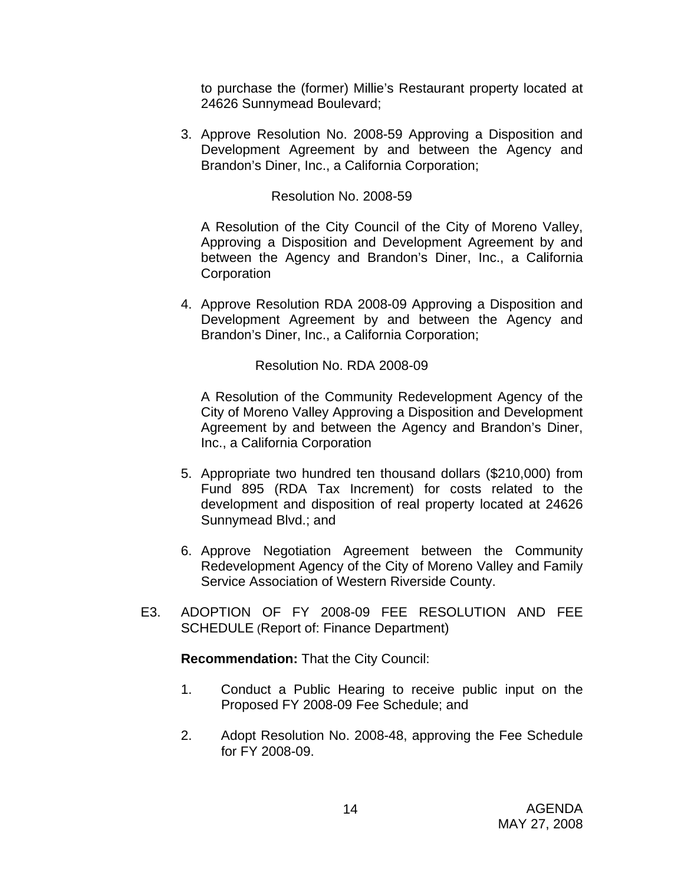to purchase the (former) Millie's Restaurant property located at 24626 Sunnymead Boulevard;

3. Approve Resolution No. 2008-59 Approving a Disposition and Development Agreement by and between the Agency and Brandon's Diner, Inc., a California Corporation;

## Resolution No. 2008-59

A Resolution of the City Council of the City of Moreno Valley, Approving a Disposition and Development Agreement by and between the Agency and Brandon's Diner, Inc., a California **Corporation** 

4. Approve Resolution RDA 2008-09 Approving a Disposition and Development Agreement by and between the Agency and Brandon's Diner, Inc., a California Corporation;

Resolution No. RDA 2008-09

A Resolution of the Community Redevelopment Agency of the City of Moreno Valley Approving a Disposition and Development Agreement by and between the Agency and Brandon's Diner, Inc., a California Corporation

- 5. Appropriate two hundred ten thousand dollars (\$210,000) from Fund 895 (RDA Tax Increment) for costs related to the development and disposition of real property located at 24626 Sunnymead Blvd.; and
- 6. Approve Negotiation Agreement between the Community Redevelopment Agency of the City of Moreno Valley and Family Service Association of Western Riverside County.
- E3. ADOPTION OF FY 2008-09 FEE RESOLUTION AND FEE SCHEDULE (Report of: Finance Department)

**Recommendation:** That the City Council:

- 1. Conduct a Public Hearing to receive public input on the Proposed FY 2008-09 Fee Schedule; and
- 2. Adopt Resolution No. 2008-48, approving the Fee Schedule for FY 2008-09.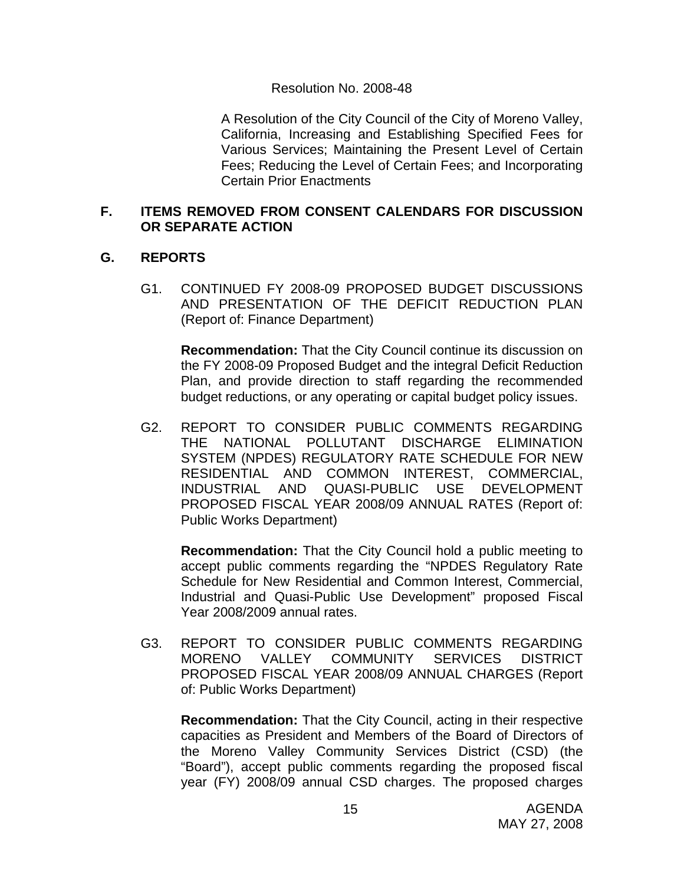#### Resolution No. 2008-48

A Resolution of the City Council of the City of Moreno Valley, California, Increasing and Establishing Specified Fees for Various Services; Maintaining the Present Level of Certain Fees; Reducing the Level of Certain Fees; and Incorporating Certain Prior Enactments

#### **F. ITEMS REMOVED FROM CONSENT CALENDARS FOR DISCUSSION OR SEPARATE ACTION**

# **G. REPORTS**

G1. CONTINUED FY 2008-09 PROPOSED BUDGET DISCUSSIONS AND PRESENTATION OF THE DEFICIT REDUCTION PLAN (Report of: Finance Department)

**Recommendation:** That the City Council continue its discussion on the FY 2008-09 Proposed Budget and the integral Deficit Reduction Plan, and provide direction to staff regarding the recommended budget reductions, or any operating or capital budget policy issues.

G2. REPORT TO CONSIDER PUBLIC COMMENTS REGARDING THE NATIONAL POLLUTANT DISCHARGE ELIMINATION SYSTEM (NPDES) REGULATORY RATE SCHEDULE FOR NEW RESIDENTIAL AND COMMON INTEREST, COMMERCIAL, INDUSTRIAL AND QUASI-PUBLIC USE DEVELOPMENT PROPOSED FISCAL YEAR 2008/09 ANNUAL RATES (Report of: Public Works Department)

 **Recommendation:** That the City Council hold a public meeting to accept public comments regarding the "NPDES Regulatory Rate Schedule for New Residential and Common Interest, Commercial, Industrial and Quasi-Public Use Development" proposed Fiscal Year 2008/2009 annual rates.

G3. REPORT TO CONSIDER PUBLIC COMMENTS REGARDING MORENO VALLEY COMMUNITY SERVICES DISTRICT PROPOSED FISCAL YEAR 2008/09 ANNUAL CHARGES (Report of: Public Works Department)

**Recommendation:** That the City Council, acting in their respective capacities as President and Members of the Board of Directors of the Moreno Valley Community Services District (CSD) (the "Board"), accept public comments regarding the proposed fiscal year (FY) 2008/09 annual CSD charges. The proposed charges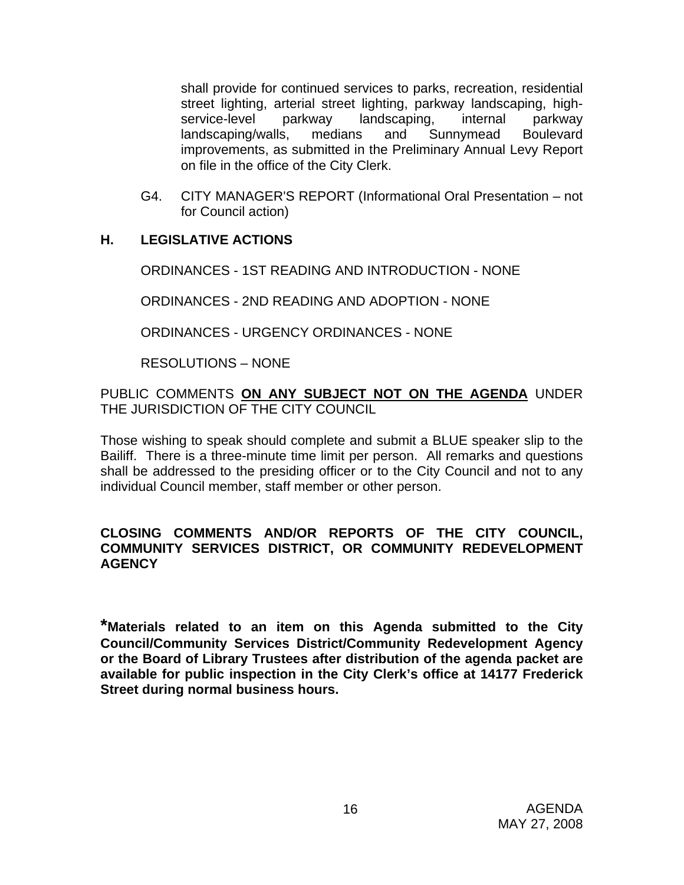shall provide for continued services to parks, recreation, residential street lighting, arterial street lighting, parkway landscaping, highservice-level parkway landscaping, internal parkway landscaping/walls, medians and Sunnymead Boulevard improvements, as submitted in the Preliminary Annual Levy Report on file in the office of the City Clerk.

G4. CITY MANAGER'S REPORT (Informational Oral Presentation – not for Council action)

# **H. LEGISLATIVE ACTIONS**

ORDINANCES - 1ST READING AND INTRODUCTION - NONE

ORDINANCES - 2ND READING AND ADOPTION - NONE

ORDINANCES - URGENCY ORDINANCES - NONE

RESOLUTIONS – NONE

PUBLIC COMMENTS **ON ANY SUBJECT NOT ON THE AGENDA** UNDER THE JURISDICTION OF THE CITY COUNCIL

Those wishing to speak should complete and submit a BLUE speaker slip to the Bailiff. There is a three-minute time limit per person. All remarks and questions shall be addressed to the presiding officer or to the City Council and not to any individual Council member, staff member or other person.

# **CLOSING COMMENTS AND/OR REPORTS OF THE CITY COUNCIL, COMMUNITY SERVICES DISTRICT, OR COMMUNITY REDEVELOPMENT AGENCY**

**\*Materials related to an item on this Agenda submitted to the City Council/Community Services District/Community Redevelopment Agency or the Board of Library Trustees after distribution of the agenda packet are available for public inspection in the City Clerk's office at 14177 Frederick Street during normal business hours.**